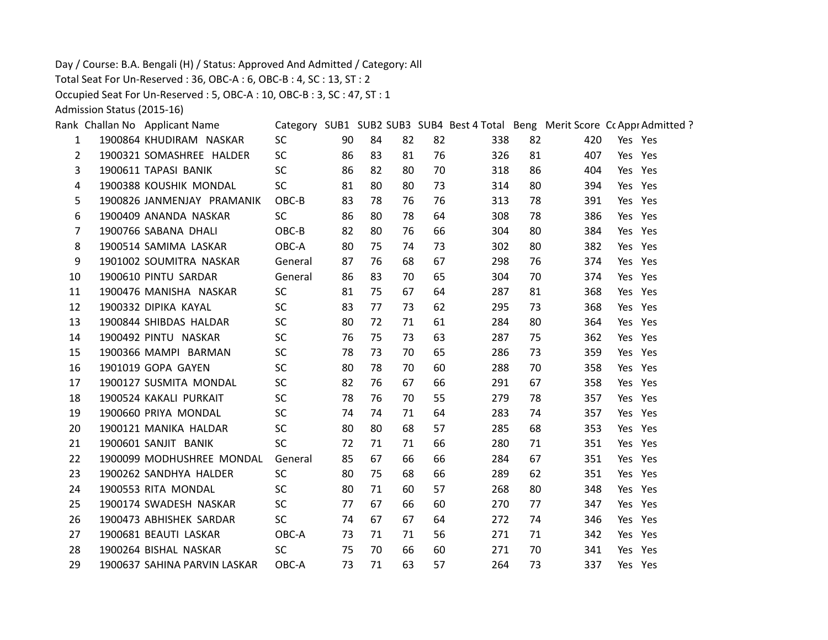Day / Course: B.A. Bengali (H) / Status: Approved And Admitted / Category: All

Total Seat For Un-Reserved : 36, OBC-A : 6, OBC-B : 4, SC : 13, ST : 2

Occupied Seat For Un-Reserved : 5, OBC-A : 10, OBC-B : 3, SC : 47, ST : 1

Admission Status (2015-16)

|                | Rank Challan No Applicant Name |           |    |    |    |    | Category SUB1 SUB2 SUB3 SUB4 Best 4 Total Beng Merit Score Cc Appr Admitted ? |    |     |         |  |
|----------------|--------------------------------|-----------|----|----|----|----|-------------------------------------------------------------------------------|----|-----|---------|--|
| 1              | 1900864 KHUDIRAM NASKAR        | <b>SC</b> | 90 | 84 | 82 | 82 | 338                                                                           | 82 | 420 | Yes Yes |  |
| $\overline{2}$ | 1900321 SOMASHREE HALDER       | <b>SC</b> | 86 | 83 | 81 | 76 | 326                                                                           | 81 | 407 | Yes Yes |  |
| 3              | 1900611 TAPASI BANIK           | <b>SC</b> | 86 | 82 | 80 | 70 | 318                                                                           | 86 | 404 | Yes Yes |  |
| 4              | 1900388 KOUSHIK MONDAL         | <b>SC</b> | 81 | 80 | 80 | 73 | 314                                                                           | 80 | 394 | Yes Yes |  |
| 5              | 1900826 JANMENJAY PRAMANIK     | OBC-B     | 83 | 78 | 76 | 76 | 313                                                                           | 78 | 391 | Yes Yes |  |
| 6              | 1900409 ANANDA NASKAR          | <b>SC</b> | 86 | 80 | 78 | 64 | 308                                                                           | 78 | 386 | Yes Yes |  |
| 7              | 1900766 SABANA DHALI           | OBC-B     | 82 | 80 | 76 | 66 | 304                                                                           | 80 | 384 | Yes Yes |  |
| 8              | 1900514 SAMIMA LASKAR          | OBC-A     | 80 | 75 | 74 | 73 | 302                                                                           | 80 | 382 | Yes Yes |  |
| 9              | 1901002 SOUMITRA NASKAR        | General   | 87 | 76 | 68 | 67 | 298                                                                           | 76 | 374 | Yes Yes |  |
| 10             | 1900610 PINTU SARDAR           | General   | 86 | 83 | 70 | 65 | 304                                                                           | 70 | 374 | Yes Yes |  |
| 11             | 1900476 MANISHA NASKAR         | <b>SC</b> | 81 | 75 | 67 | 64 | 287                                                                           | 81 | 368 | Yes Yes |  |
| 12             | 1900332 DIPIKA KAYAL           | <b>SC</b> | 83 | 77 | 73 | 62 | 295                                                                           | 73 | 368 | Yes Yes |  |
| 13             | 1900844 SHIBDAS HALDAR         | <b>SC</b> | 80 | 72 | 71 | 61 | 284                                                                           | 80 | 364 | Yes Yes |  |
| 14             | 1900492 PINTU NASKAR           | <b>SC</b> | 76 | 75 | 73 | 63 | 287                                                                           | 75 | 362 | Yes Yes |  |
| 15             | 1900366 MAMPI BARMAN           | <b>SC</b> | 78 | 73 | 70 | 65 | 286                                                                           | 73 | 359 | Yes Yes |  |
| 16             | 1901019 GOPA GAYEN             | <b>SC</b> | 80 | 78 | 70 | 60 | 288                                                                           | 70 | 358 | Yes Yes |  |
| 17             | 1900127 SUSMITA MONDAL         | <b>SC</b> | 82 | 76 | 67 | 66 | 291                                                                           | 67 | 358 | Yes Yes |  |
| 18             | 1900524 KAKALI PURKAIT         | <b>SC</b> | 78 | 76 | 70 | 55 | 279                                                                           | 78 | 357 | Yes Yes |  |
| 19             | 1900660 PRIYA MONDAL           | <b>SC</b> | 74 | 74 | 71 | 64 | 283                                                                           | 74 | 357 | Yes Yes |  |
| 20             | 1900121 MANIKA HALDAR          | <b>SC</b> | 80 | 80 | 68 | 57 | 285                                                                           | 68 | 353 | Yes Yes |  |
| 21             | 1900601 SANJIT BANIK           | <b>SC</b> | 72 | 71 | 71 | 66 | 280                                                                           | 71 | 351 | Yes Yes |  |
| 22             | 1900099 MODHUSHREE MONDAL      | General   | 85 | 67 | 66 | 66 | 284                                                                           | 67 | 351 | Yes Yes |  |
| 23             | 1900262 SANDHYA HALDER         | <b>SC</b> | 80 | 75 | 68 | 66 | 289                                                                           | 62 | 351 | Yes Yes |  |
| 24             | 1900553 RITA MONDAL            | <b>SC</b> | 80 | 71 | 60 | 57 | 268                                                                           | 80 | 348 | Yes Yes |  |
| 25             | 1900174 SWADESH NASKAR         | <b>SC</b> | 77 | 67 | 66 | 60 | 270                                                                           | 77 | 347 | Yes Yes |  |
| 26             | 1900473 ABHISHEK SARDAR        | <b>SC</b> | 74 | 67 | 67 | 64 | 272                                                                           | 74 | 346 | Yes Yes |  |
| 27             | 1900681 BEAUTI LASKAR          | OBC-A     | 73 | 71 | 71 | 56 | 271                                                                           | 71 | 342 | Yes Yes |  |
| 28             | 1900264 BISHAL NASKAR          | <b>SC</b> | 75 | 70 | 66 | 60 | 271                                                                           | 70 | 341 | Yes Yes |  |
| 29             | 1900637 SAHINA PARVIN LASKAR   | OBC-A     | 73 | 71 | 63 | 57 | 264                                                                           | 73 | 337 | Yes Yes |  |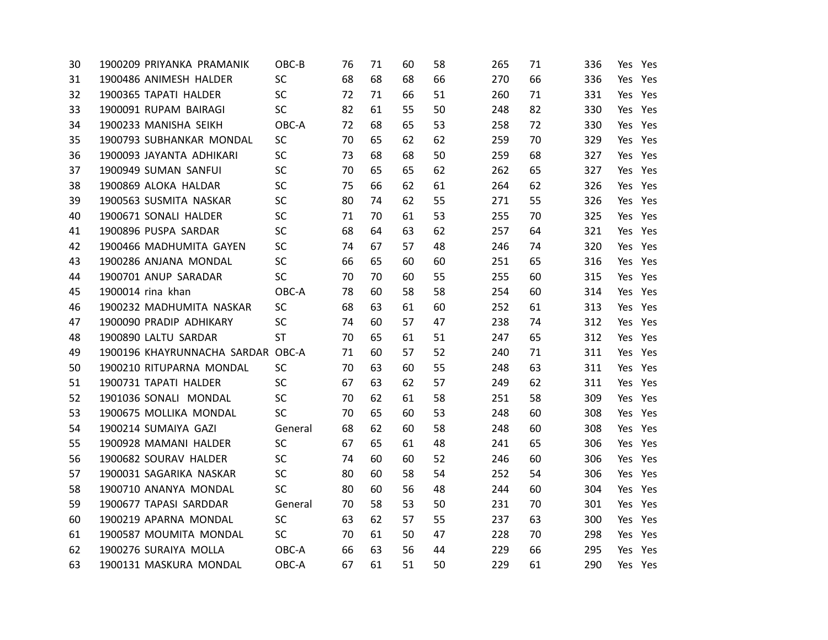| 30 | 1900209 PRIYANKA PRAMANIK         | OBC-B     | 76 | 71 | 60 | 58 | 265 | 71 | 336 | Yes Yes |         |
|----|-----------------------------------|-----------|----|----|----|----|-----|----|-----|---------|---------|
| 31 | 1900486 ANIMESH HALDER            | SC        | 68 | 68 | 68 | 66 | 270 | 66 | 336 |         | Yes Yes |
| 32 | 1900365 TAPATI HALDER             | SC        | 72 | 71 | 66 | 51 | 260 | 71 | 331 |         | Yes Yes |
| 33 | 1900091 RUPAM BAIRAGI             | SC        | 82 | 61 | 55 | 50 | 248 | 82 | 330 |         | Yes Yes |
| 34 | 1900233 MANISHA SEIKH             | OBC-A     | 72 | 68 | 65 | 53 | 258 | 72 | 330 |         | Yes Yes |
| 35 | 1900793 SUBHANKAR MONDAL          | SC        | 70 | 65 | 62 | 62 | 259 | 70 | 329 |         | Yes Yes |
| 36 | 1900093 JAYANTA ADHIKARI          | SC        | 73 | 68 | 68 | 50 | 259 | 68 | 327 |         | Yes Yes |
| 37 | 1900949 SUMAN SANFUI              | SC        | 70 | 65 | 65 | 62 | 262 | 65 | 327 |         | Yes Yes |
| 38 | 1900869 ALOKA HALDAR              | SC        | 75 | 66 | 62 | 61 | 264 | 62 | 326 |         | Yes Yes |
| 39 | 1900563 SUSMITA NASKAR            | SC        | 80 | 74 | 62 | 55 | 271 | 55 | 326 |         | Yes Yes |
| 40 | 1900671 SONALI HALDER             | SC        | 71 | 70 | 61 | 53 | 255 | 70 | 325 |         | Yes Yes |
| 41 | 1900896 PUSPA SARDAR              | SC        | 68 | 64 | 63 | 62 | 257 | 64 | 321 |         | Yes Yes |
| 42 | 1900466 MADHUMITA GAYEN           | <b>SC</b> | 74 | 67 | 57 | 48 | 246 | 74 | 320 |         | Yes Yes |
| 43 | 1900286 ANJANA MONDAL             | <b>SC</b> | 66 | 65 | 60 | 60 | 251 | 65 | 316 |         | Yes Yes |
| 44 | 1900701 ANUP SARADAR              | <b>SC</b> | 70 | 70 | 60 | 55 | 255 | 60 | 315 |         | Yes Yes |
| 45 | 1900014 rina khan                 | OBC-A     | 78 | 60 | 58 | 58 | 254 | 60 | 314 |         | Yes Yes |
| 46 | 1900232 MADHUMITA NASKAR          | SC        | 68 | 63 | 61 | 60 | 252 | 61 | 313 |         | Yes Yes |
| 47 | 1900090 PRADIP ADHIKARY           | SC        | 74 | 60 | 57 | 47 | 238 | 74 | 312 |         | Yes Yes |
| 48 | 1900890 LALTU SARDAR              | <b>ST</b> | 70 | 65 | 61 | 51 | 247 | 65 | 312 |         | Yes Yes |
| 49 | 1900196 KHAYRUNNACHA SARDAR OBC-A |           | 71 | 60 | 57 | 52 | 240 | 71 | 311 |         | Yes Yes |
| 50 | 1900210 RITUPARNA MONDAL          | SC        | 70 | 63 | 60 | 55 | 248 | 63 | 311 |         | Yes Yes |
| 51 | 1900731 TAPATI HALDER             | <b>SC</b> | 67 | 63 | 62 | 57 | 249 | 62 | 311 |         | Yes Yes |
| 52 | 1901036 SONALI MONDAL             | SC        | 70 | 62 | 61 | 58 | 251 | 58 | 309 |         | Yes Yes |
| 53 | 1900675 MOLLIKA MONDAL            | SC        | 70 | 65 | 60 | 53 | 248 | 60 | 308 |         | Yes Yes |
| 54 | 1900214 SUMAIYA GAZI              | General   | 68 | 62 | 60 | 58 | 248 | 60 | 308 |         | Yes Yes |
| 55 | 1900928 MAMANI HALDER             | SC        | 67 | 65 | 61 | 48 | 241 | 65 | 306 |         | Yes Yes |
| 56 | 1900682 SOURAV HALDER             | SC        | 74 | 60 | 60 | 52 | 246 | 60 | 306 |         | Yes Yes |
| 57 | 1900031 SAGARIKA NASKAR           | SC        | 80 | 60 | 58 | 54 | 252 | 54 | 306 |         | Yes Yes |
| 58 | 1900710 ANANYA MONDAL             | SC        | 80 | 60 | 56 | 48 | 244 | 60 | 304 |         | Yes Yes |
| 59 | 1900677 TAPASI SARDDAR            | General   | 70 | 58 | 53 | 50 | 231 | 70 | 301 |         | Yes Yes |
| 60 | 1900219 APARNA MONDAL             | SC        | 63 | 62 | 57 | 55 | 237 | 63 | 300 |         | Yes Yes |
| 61 | 1900587 MOUMITA MONDAL            | <b>SC</b> | 70 | 61 | 50 | 47 | 228 | 70 | 298 |         | Yes Yes |
| 62 | 1900276 SURAIYA MOLLA             | OBC-A     | 66 | 63 | 56 | 44 | 229 | 66 | 295 |         | Yes Yes |
| 63 | 1900131 MASKURA MONDAL            | OBC-A     | 67 | 61 | 51 | 50 | 229 | 61 | 290 |         | Yes Yes |
|    |                                   |           |    |    |    |    |     |    |     |         |         |